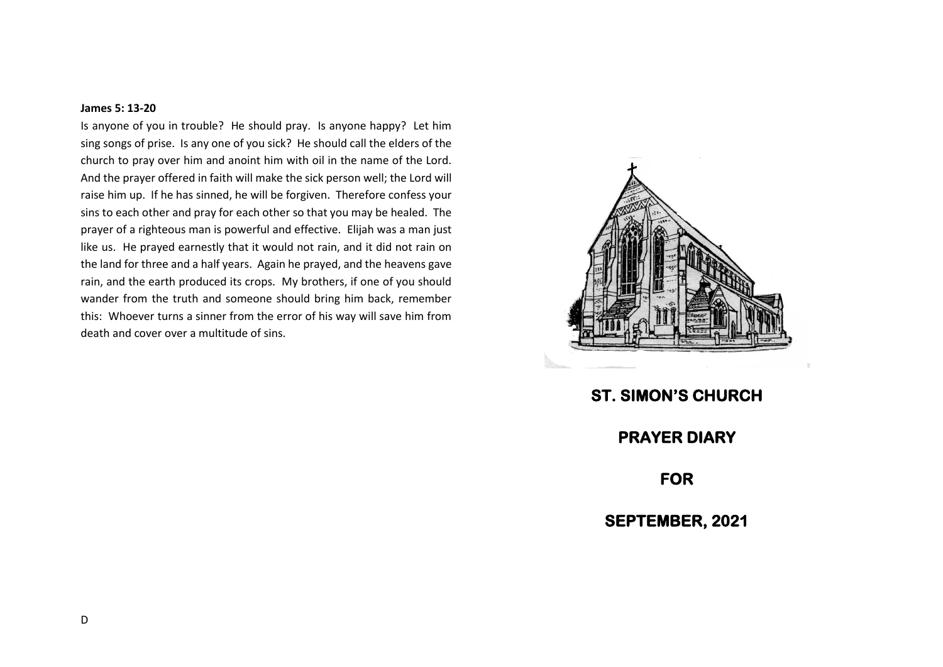## **James 5: 13-20**

Is anyone of you in trouble? He should pray. Is anyone happy? Let him sing songs of prise. Is any one of you sick? He should call the elders of the church to pray over him and anoint him with oil in the name of the Lord. And the prayer offered in faith will make the sick person well; the Lord will raise him up. If he has sinned, he will be forgiven. Therefore confess your sins to each other and pray for each other so that you may be healed. The prayer of a righteous man is powerful and effective. Elijah was a man just like us. He prayed earnestly that it would not rain, and it did not rain on the land for three and a half years. Again he prayed, and the heavens gave rain, and the earth produced its crops. My brothers, if one of you should wander from the truth and someone should bring him back, remember this: Whoever turns a sinner from the error of his way will save him from death and cover over a multitude of sins.



**ST. SIMON'S CHURCH PRAYER DIARY FOR SEPTEMBER, 2021**